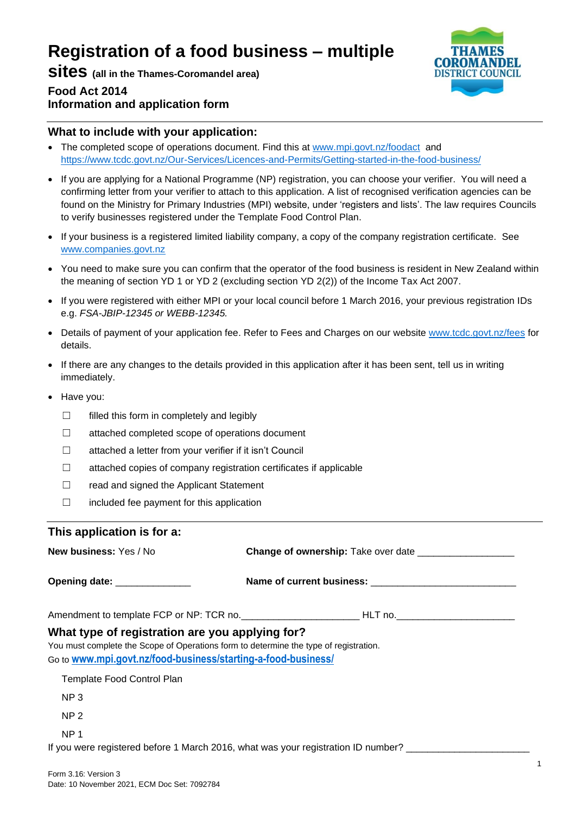# **Registration of a food business – multiple**

**sites (all in the Thames-Coromandel area) Food Act 2014**



# **What to include with your application:**

**Information and application form**

- The completed scope of operations document. Find this at [www.mpi.govt.nz/foodact](http://www.mpi.govt.nz/foodact) and <https://www.tcdc.govt.nz/Our-Services/Licences-and-Permits/Getting-started-in-the-food-business/>
- If you are applying for a National Programme (NP) registration, you can choose your verifier. You will need a confirming letter from your verifier to attach to this application. A list of recognised verification agencies can be found on the Ministry for Primary Industries (MPI) website, under 'registers and lists'. The law requires Councils to verify businesses registered under the Template Food Control Plan.
- If your business is a registered limited liability company, a copy of the company registration certificate. See [www.companies.govt.nz](http://www.companies.govt.nz/)
- You need to make sure you can confirm that the operator of the food business is resident in New Zealand within the meaning of section YD 1 or YD 2 (excluding section YD 2(2)) of the Income Tax Act 2007.
- If you were registered with either MPI or your local council before 1 March 2016, your previous registration IDs e.g. *FSA-JBIP-12345 or WEBB-12345.*
- Details of payment of your application fee. Refer to Fees and Charges on our website [www.tcdc.govt.nz/fees](http://www.tcdc.govt.nz/fees) for details.
- If there are any changes to the details provided in this application after it has been sent, tell us in writing immediately.
- Have you:
	- ☐ filled this form in completely and legibly
	- ☐ attached completed scope of operations document
	- ☐ attached a letter from your verifier if it isn't Council
	- ☐ attached copies of company registration certificates if applicable
	- ☐ read and signed the Applicant Statement
	- ☐ included fee payment for this application

## **This application is for a:**

| New business: Yes / No                                                                |                                                                                                      |  |  |
|---------------------------------------------------------------------------------------|------------------------------------------------------------------------------------------------------|--|--|
| Opening date: _______________                                                         |                                                                                                      |  |  |
|                                                                                       | Amendment to template FCP or NP: TCR no._________________________HLT no.____________________________ |  |  |
| What type of registration are you applying for?                                       |                                                                                                      |  |  |
| You must complete the Scope of Operations form to determine the type of registration. |                                                                                                      |  |  |
| Go to www.mpi.govt.nz/food-business/starting-a-food-business/                         |                                                                                                      |  |  |
| Template Food Control Plan                                                            |                                                                                                      |  |  |
| NP <sub>3</sub>                                                                       |                                                                                                      |  |  |
| NP <sub>2</sub>                                                                       |                                                                                                      |  |  |

NP 1

If you were registered before 1 March 2016, what was your registration ID number?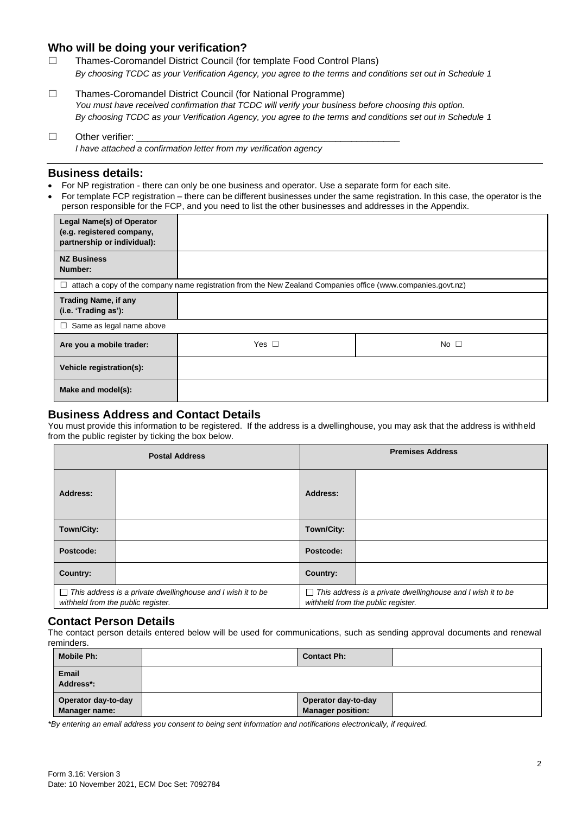## **Who will be doing your verification?**

☐ Thames-Coromandel District Council (for template Food Control Plans) *By choosing TCDC as your Verification Agency, you agree to the terms and conditions set out in Schedule 1*

- ☐ Thames-Coromandel District Council (for National Programme) *You must have received confirmation that TCDC will verify your business before choosing this option. By choosing TCDC as your Verification Agency, you agree to the terms and conditions set out in Schedule 1*
- $\Box$  Other verifier: *I have attached a confirmation letter from my verification agency*

#### **Business details:**

- For NP registration there can only be one business and operator. Use a separate form for each site.
- For template FCP registration there can be different businesses under the same registration. In this case, the operator is the person responsible for the FCP, and you need to list the other businesses and addresses in the Appendix.

| <b>Legal Name(s) of Operator</b><br>(e.g. registered company,<br>partnership or individual):                      |            |              |  |
|-------------------------------------------------------------------------------------------------------------------|------------|--------------|--|
| <b>NZ Business</b><br>Number:                                                                                     |            |              |  |
| attach a copy of the company name registration from the New Zealand Companies office (www.companies.govt.nz)<br>⊔ |            |              |  |
| <b>Trading Name, if any</b><br>(i.e. 'Trading as'):                                                               |            |              |  |
| Same as legal name above<br>□                                                                                     |            |              |  |
| Are you a mobile trader:                                                                                          | Yes $\Box$ | No $\square$ |  |
| Vehicle registration(s):                                                                                          |            |              |  |
| Make and model(s):                                                                                                |            |              |  |

## **Business Address and Contact Details**

You must provide this information to be registered. If the address is a dwellinghouse, you may ask that the address is withheld from the public register by ticking the box below.

| <b>Postal Address</b>              |                                                                    | <b>Premises Address</b> |                                                                                                   |  |
|------------------------------------|--------------------------------------------------------------------|-------------------------|---------------------------------------------------------------------------------------------------|--|
| Address:                           |                                                                    | Address:                |                                                                                                   |  |
| Town/City:                         |                                                                    | Town/City:              |                                                                                                   |  |
| Postcode:                          |                                                                    | Postcode:               |                                                                                                   |  |
| Country:                           |                                                                    | Country:                |                                                                                                   |  |
| withheld from the public register. | $\Box$ This address is a private dwellinghouse and I wish it to be | $\perp$                 | This address is a private dwellinghouse and I wish it to be<br>withheld from the public register. |  |

## **Contact Person Details**

The contact person details entered below will be used for communications, such as sending approval documents and renewal reminders.

| Mobile Ph:                           | <b>Contact Ph:</b>                              |  |
|--------------------------------------|-------------------------------------------------|--|
| <b>Email</b><br>Address*:            |                                                 |  |
| Operator day-to-day<br>Manager name: | Operator day-to-day<br><b>Manager position:</b> |  |

*\*By entering an email address you consent to being sent information and notifications electronically, if required.*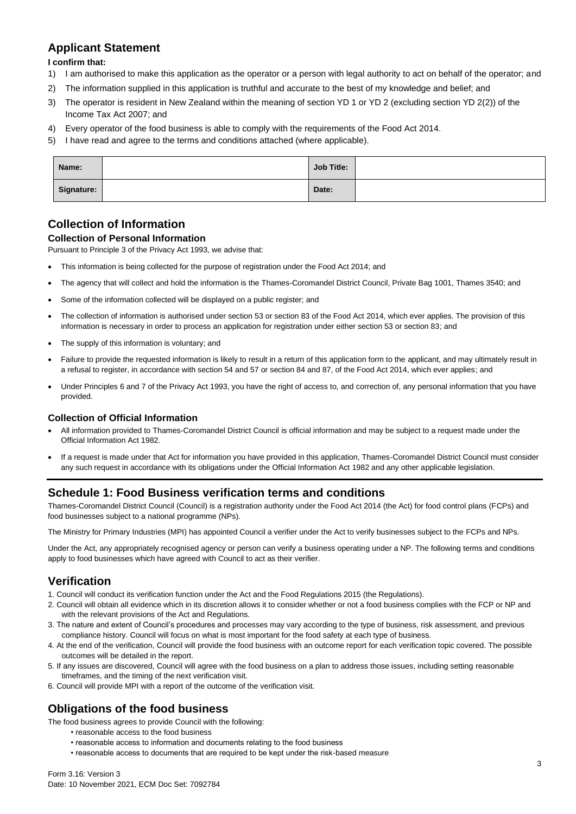# **Applicant Statement**

**I confirm that:**

- 1) I am authorised to make this application as the operator or a person with legal authority to act on behalf of the operator; and
- 2) The information supplied in this application is truthful and accurate to the best of my knowledge and belief; and
- 3) The operator is resident in New Zealand within the meaning of section YD 1 or YD 2 (excluding section YD 2(2)) of the Income Tax Act 2007; and
- 4) Every operator of the food business is able to comply with the requirements of the Food Act 2014.
- 5) I have read and agree to the terms and conditions attached (where applicable).

| Name:      | <b>Job Title:</b> |  |
|------------|-------------------|--|
| Signature: | Date:             |  |

# **Collection of Information**

### **Collection of Personal Information**

Pursuant to Principle 3 of the Privacy Act 1993, we advise that:

- This information is being collected for the purpose of registration under the Food Act 2014; and
- The agency that will collect and hold the information is the Thames-Coromandel District Council, Private Bag 1001, Thames 3540; and
- Some of the information collected will be displayed on a public register; and
- The collection of information is authorised under section 53 or section 83 of the Food Act 2014, which ever applies. The provision of this information is necessary in order to process an application for registration under either section 53 or section 83; and
- The supply of this information is voluntary; and
- Failure to provide the requested information is likely to result in a return of this application form to the applicant, and may ultimately result in a refusal to register, in accordance with section 54 and 57 or section 84 and 87, of the Food Act 2014, which ever applies; and
- Under Principles 6 and 7 of the Privacy Act 1993, you have the right of access to, and correction of, any personal information that you have provided.

#### **Collection of Official Information**

- All information provided to Thames-Coromandel District Council is official information and may be subject to a request made under the Official Information Act 1982.
- If a request is made under that Act for information you have provided in this application, Thames-Coromandel District Council must consider any such request in accordance with its obligations under the Official Information Act 1982 and any other applicable legislation.

#### **Schedule 1: Food Business verification terms and conditions**

Thames-Coromandel District Council (Council) is a registration authority under the Food Act 2014 (the Act) for food control plans (FCPs) and food businesses subject to a national programme (NPs).

The Ministry for Primary Industries (MPI) has appointed Council a verifier under the Act to verify businesses subject to the FCPs and NPs.

Under the Act, any appropriately recognised agency or person can verify a business operating under a NP. The following terms and conditions apply to food businesses which have agreed with Council to act as their verifier.

## **Verification**

- 1. Council will conduct its verification function under the Act and the Food Regulations 2015 (the Regulations).
- 2. Council will obtain all evidence which in its discretion allows it to consider whether or not a food business complies with the FCP or NP and with the relevant provisions of the Act and Regulations.
- 3. The nature and extent of Council's procedures and processes may vary according to the type of business, risk assessment, and previous compliance history. Council will focus on what is most important for the food safety at each type of business.
- 4. At the end of the verification, Council will provide the food business with an outcome report for each verification topic covered. The possible outcomes will be detailed in the report.
- 5. If any issues are discovered, Council will agree with the food business on a plan to address those issues, including setting reasonable timeframes, and the timing of the next verification visit.
- 6. Council will provide MPI with a report of the outcome of the verification visit.

## **Obligations of the food business**

The food business agrees to provide Council with the following:

- reasonable access to the food business
- reasonable access to information and documents relating to the food business
- reasonable access to documents that are required to be kept under the risk-based measure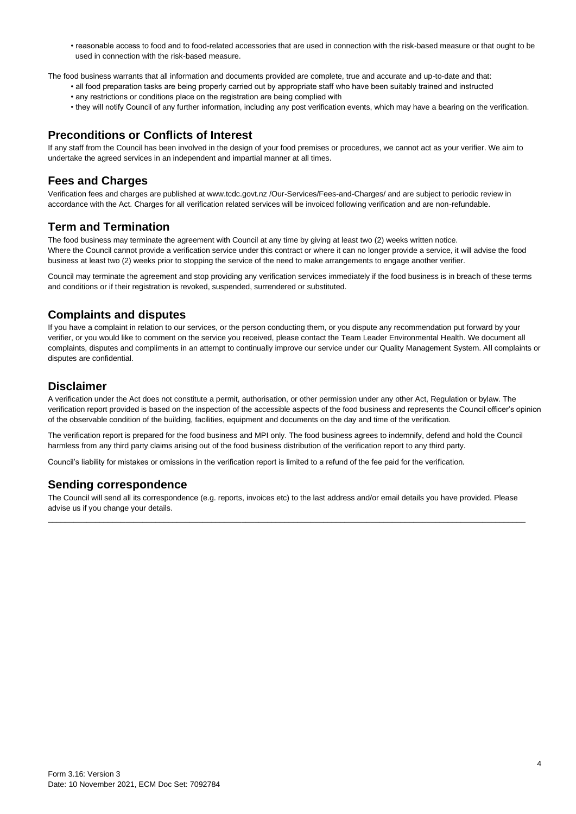• reasonable access to food and to food-related accessories that are used in connection with the risk-based measure or that ought to be used in connection with the risk-based measure.

The food business warrants that all information and documents provided are complete, true and accurate and up-to-date and that:

- all food preparation tasks are being properly carried out by appropriate staff who have been suitably trained and instructed
- any restrictions or conditions place on the registration are being complied with
- they will notify Council of any further information, including any post verification events, which may have a bearing on the verification.

### **Preconditions or Conflicts of Interest**

If any staff from the Council has been involved in the design of your food premises or procedures, we cannot act as your verifier. We aim to undertake the agreed services in an independent and impartial manner at all times.

# **Fees and Charges**

Verification fees and charges are published at www.tcdc.govt.nz /Our-Services/Fees-and-Charges/ and are subject to periodic review in accordance with the Act. Charges for all verification related services will be invoiced following verification and are non-refundable.

# **Term and Termination**

The food business may terminate the agreement with Council at any time by giving at least two (2) weeks written notice. Where the Council cannot provide a verification service under this contract or where it can no longer provide a service, it will advise the food business at least two (2) weeks prior to stopping the service of the need to make arrangements to engage another verifier.

Council may terminate the agreement and stop providing any verification services immediately if the food business is in breach of these terms and conditions or if their registration is revoked, suspended, surrendered or substituted.

# **Complaints and disputes**

If you have a complaint in relation to our services, or the person conducting them, or you dispute any recommendation put forward by your verifier, or you would like to comment on the service you received, please contact the Team Leader Environmental Health. We document all complaints, disputes and compliments in an attempt to continually improve our service under our Quality Management System. All complaints or disputes are confidential.

# **Disclaimer**

A verification under the Act does not constitute a permit, authorisation, or other permission under any other Act, Regulation or bylaw. The verification report provided is based on the inspection of the accessible aspects of the food business and represents the Council officer's opinion of the observable condition of the building, facilities, equipment and documents on the day and time of the verification.

The verification report is prepared for the food business and MPI only. The food business agrees to indemnify, defend and hold the Council harmless from any third party claims arising out of the food business distribution of the verification report to any third party.

Council's liability for mistakes or omissions in the verification report is limited to a refund of the fee paid for the verification.

## **Sending correspondence**

The Council will send all its correspondence (e.g. reports, invoices etc) to the last address and/or email details you have provided. Please advise us if you change your details. \_\_\_\_\_\_\_\_\_\_\_\_\_\_\_\_\_\_\_\_\_\_\_\_\_\_\_\_\_\_\_\_\_\_\_\_\_\_\_\_\_\_\_\_\_\_\_\_\_\_\_\_\_\_\_\_\_\_\_\_\_\_\_\_\_\_\_\_\_\_\_\_\_\_\_\_\_\_\_\_\_\_\_\_\_\_\_\_\_\_\_\_\_\_\_\_\_\_\_\_\_\_\_\_\_\_\_\_\_\_\_